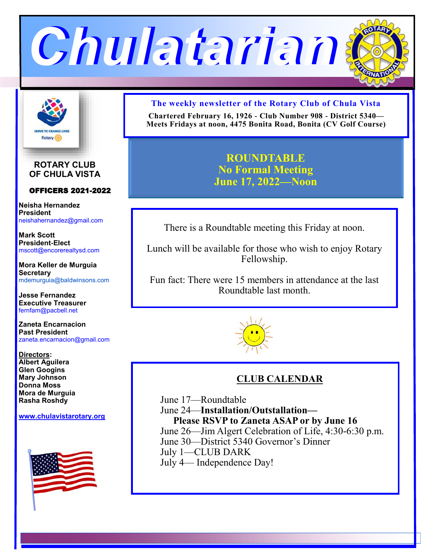



**ROTARY CLUB OF CHULA VISTA**

#### OFFICERS 2021-2022

**Neisha Hernandez President** neishahernandez@gmail.com

**Mark Scott President-Elect** mscott@encorerealtysd.com

**Mora Keller de Murguia Secretary** mdemurguia@baldwinsons.com

**Jesse Fernandez Executive Treasurer** fernfam@pacbell.net

**Zaneta Encarnacion Past President** zaneta.encarnacion@gmail.com

**Directors: Albert Aguilera Glen Googins Mary Johnson Donna Moss Mora de Murguia Rasha Roshdy**

**www.[chulavistarotary.org](http://www.chulavistarotary.org)**



#### **The weekly newsletter of the Rotary Club of Chula Vista**

**Chartered February 16, 1926 - Club Number 908 - District 5340— Meets Fridays at noon, 4475 Bonita Road, Bonita (CV Golf Course)**

> **ROUNDTABLE No Formal Meeting June 17, 2022—Noon**

There is a Roundtable meeting this Friday at noon.

Lunch will be available for those who wish to enjoy Rotary Fellowship.

Fun fact: There were 15 members in attendance at the last Roundtable last month.



## **CLUB CALENDAR**

June 17—Roundtable June 24—**Installation/Outstallation— Please RSVP to Zaneta ASAP or by June 16** June 26—Jim Algert Celebration of Life, 4:30-6:30 p.m. June 30—District 5340 Governor's Dinner July 1—CLUB DARK July 4— Independence Day!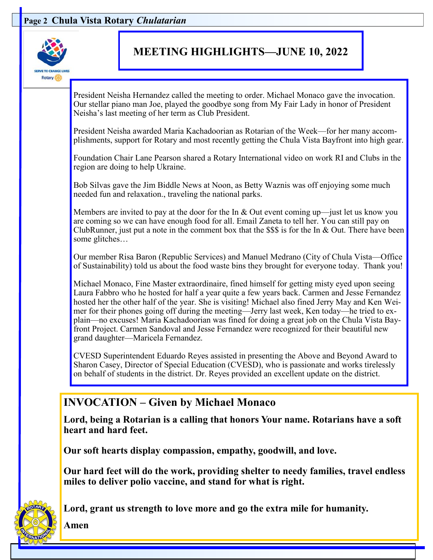### **Page 2 Chula Vista Rotary** *Chulatarian*



# **MEETING HIGHLIGHTS—JUNE 10, 2022**

President Neisha Hernandez called the meeting to order. Michael Monaco gave the invocation. Our stellar piano man Joe, played the goodbye song from My Fair Lady in honor of President Neisha's last meeting of her term as Club President.

President Neisha awarded Maria Kachadoorian as Rotarian of the Week—for her many accomplishments, support for Rotary and most recently getting the Chula Vista Bayfront into high gear.

Foundation Chair Lane Pearson shared a Rotary International video on work RI and Clubs in the region are doing to help Ukraine.

Bob Silvas gave the Jim Biddle News at Noon, as Betty Waznis was off enjoying some much needed fun and relaxation., traveling the national parks.

Members are invited to pay at the door for the In & Out event coming up—just let us know you are coming so we can have enough food for all. Email Zaneta to tell her. You can still pay on ClubRunner, just put a note in the comment box that the  $$$$  is for the In  $&$  Out. There have been some glitches…

Our member Risa Baron (Republic Services) and Manuel Medrano (City of Chula Vista—Office of Sustainability) told us about the food waste bins they brought for everyone today. Thank you!

Michael Monaco, Fine Master extraordinaire, fined himself for getting misty eyed upon seeing Laura Fabbro who he hosted for half a year quite a few years back. Carmen and Jesse Fernandez hosted her the other half of the year. She is visiting! Michael also fined Jerry May and Ken Weimer for their phones going off during the meeting—Jerry last week, Ken today—he tried to explain—no excuses! Maria Kachadoorian was fined for doing a great job on the Chula Vista Bayfront Project. Carmen Sandoval and Jesse Fernandez were recognized for their beautiful new grand daughter—Maricela Fernandez.

CVESD Superintendent Eduardo Reyes assisted in presenting the Above and Beyond Award to Sharon Casey, Director of Special Education (CVESD), who is passionate and works tirelessly on behalf of students in the district. Dr. Reyes provided an excellent update on the district.

## **INVOCATION – Given by Michael Monaco**

**Lord, being a Rotarian is a calling that honors Your name. Rotarians have a soft heart and hard feet.** 

**Our soft hearts display compassion, empathy, goodwill, and love.** 

**Our hard feet will do the work, providing shelter to needy families, travel endless miles to deliver polio vaccine, and stand for what is right.** 



**Lord, grant us strength to love more and go the extra mile for humanity.** 

**Amen**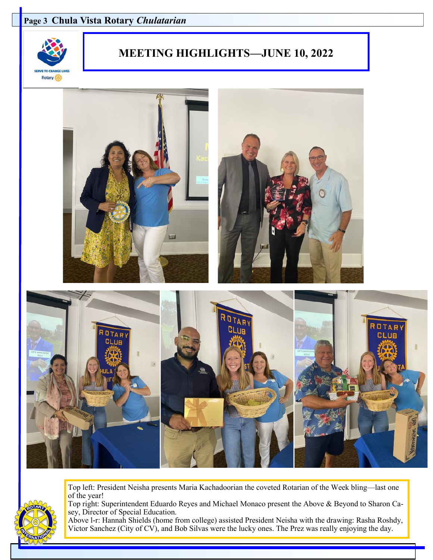#### **Page 3 Chula Vista Rotary** *Chulatarian*



# **MEETING HIGHLIGHTS—JUNE 10, 2022**



Top left: President Neisha presents Maria Kachadoorian the coveted Rotarian of the Week bling—last one of the year!



Top right: Superintendent Eduardo Reyes and Michael Monaco present the Above & Beyond to Sharon Casey, Director of Special Education.

Above l-r: Hannah Shields (home from college) assisted President Neisha with the drawing: Rasha Roshdy, Victor Sanchez (City of CV), and Bob Silvas were the lucky ones. The Prez was really enjoying the day.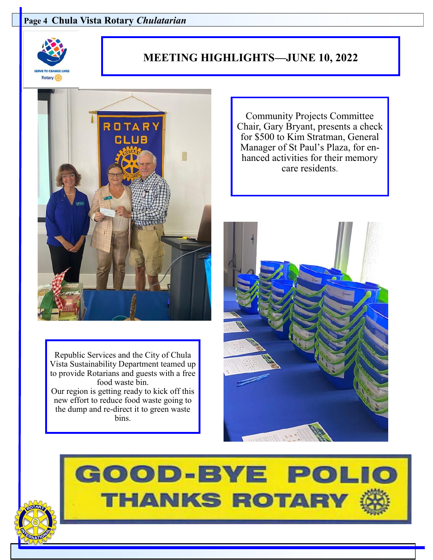#### **Page 4 Chula Vista Rotary** *Chulatarian*



## **MEETING HIGHLIGHTS—JUNE 10, 2022**



Republic Services and the City of Chula Vista Sustainability Department teamed up to provide Rotarians and guests with a free food waste bin. Our region is getting ready to kick off this new effort to reduce food waste going to the dump and re-direct it to green waste bins.

Community Projects Committee Chair, Gary Bryant, presents a check for \$500 to Kim Stratman, General Manager of St Paul's Plaza, for enhanced activities for their memory care residents.